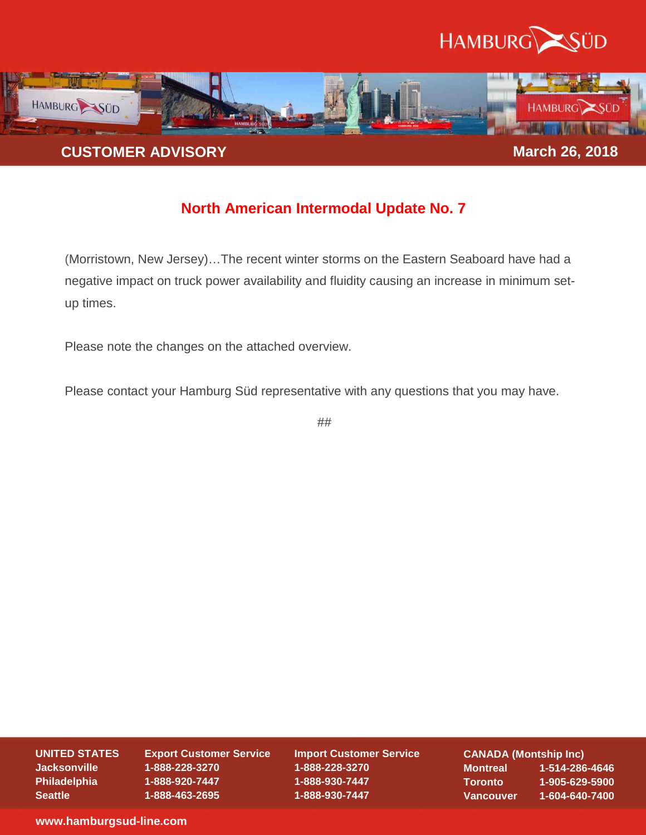



## **North American Intermodal Update No. 7**

(Morristown, New Jersey)…The recent winter storms on the Eastern Seaboard have had a negative impact on truck power availability and fluidity causing an increase in minimum setup times.

Please note the changes on the attached overview.

Please contact your Hamburg Süd representative with any questions that you may have.

##

**UNITED STATES** 

**Jacksonville Philadelphia Seattle** 

**Export Customer Service 1-888-228-3270 1-888-920-7447 1-888-463-2695** 

**Import Customer Service 1-888-228-3270 1-888-930-7447 1-888-930-7447** 

**CANADA (Montship Inc) Montreal 1-514-286-4646 Toronto 1-905-629-5900 Vancouver 1-604-640-7400** 

**www.hamburgsud-line.com**